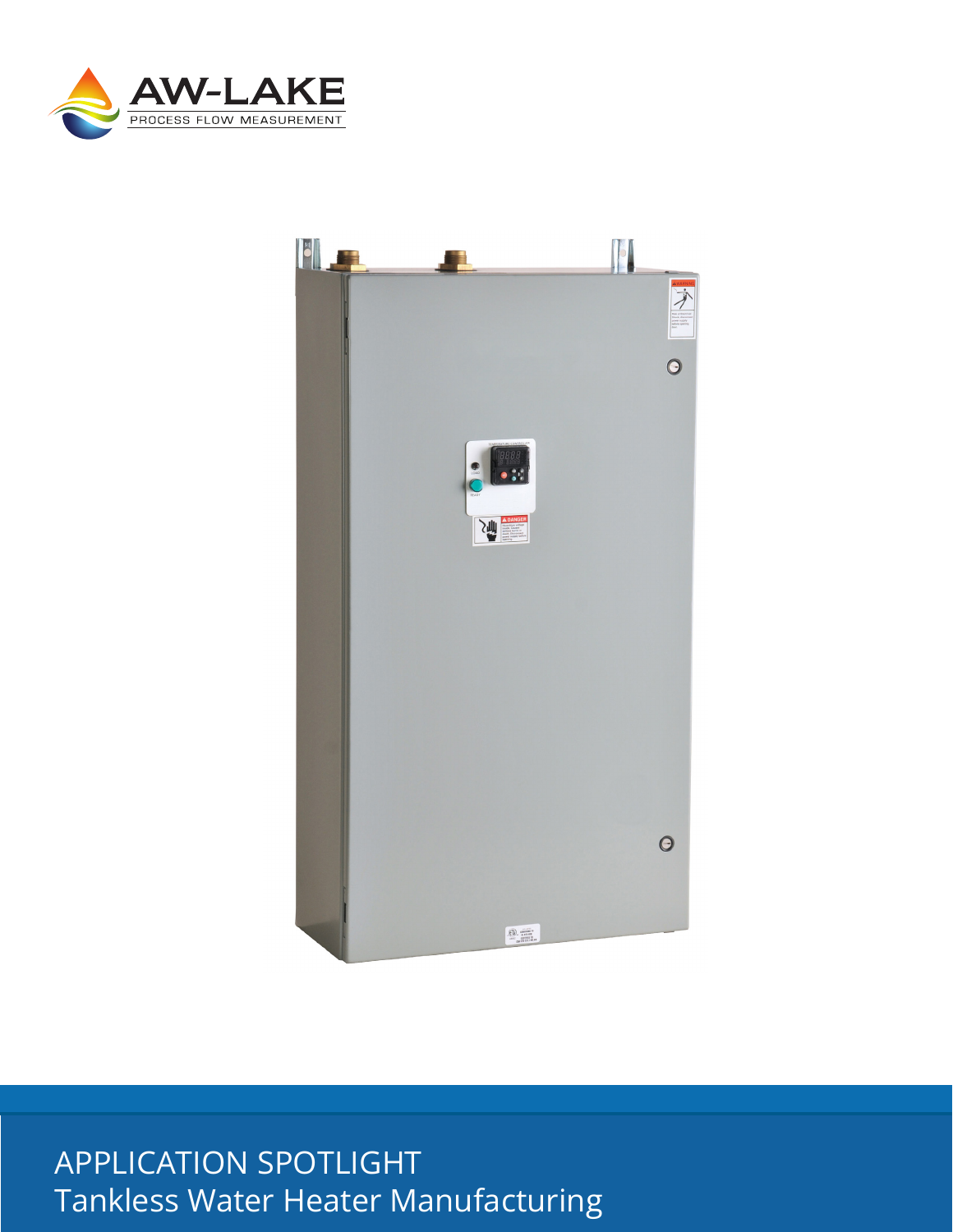



# **APPLICATION SPOTLIGHT** Tankless Water Heater Manufacturing